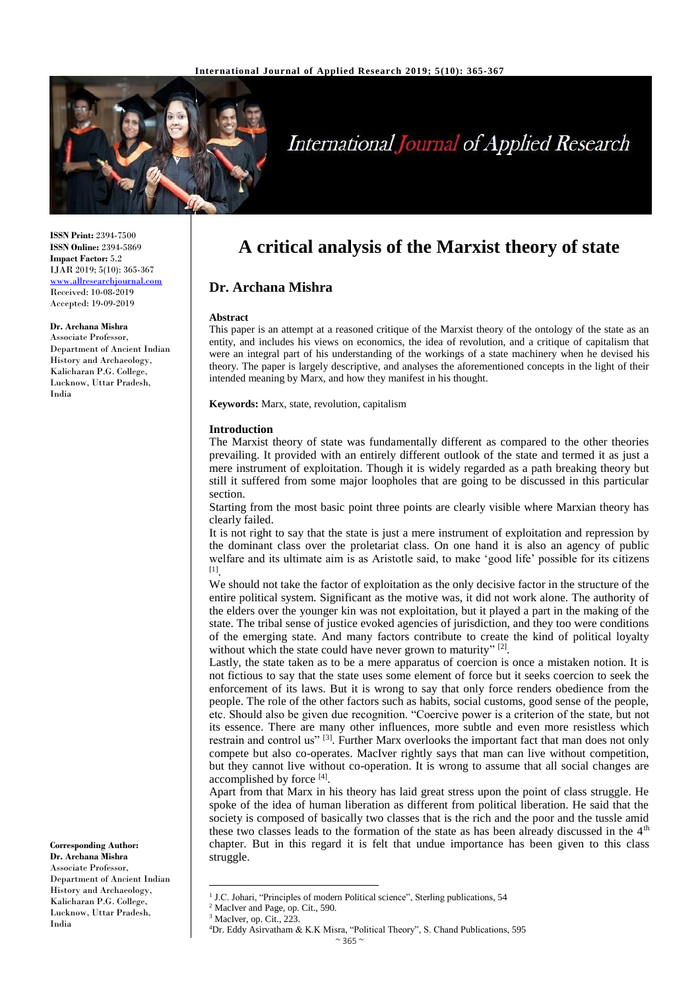

# **International Journal of Applied Research**

**ISSN Print:** 2394-7500 **ISSN Online:** 2394-5869 **Impact Factor:** 5.2 IJAR 2019; 5(10): 365-367 [www.allresearchjournal.com](http://www.allresearchjournal.com/) Received: 10-08-2019 Accepted: 19-09-2019

**Dr. Archana Mishra**

Associate Professor, Department of Ancient Indian History and Archaeology, Kalicharan P.G. College, Lucknow, Uttar Pradesh, India

**A critical analysis of the Marxist theory of state**

# **Dr. Archana Mishra**

#### **Abstract**

This paper is an attempt at a reasoned critique of the Marxist theory of the ontology of the state as an entity, and includes his views on economics, the idea of revolution, and a critique of capitalism that were an integral part of his understanding of the workings of a state machinery when he devised his theory. The paper is largely descriptive, and analyses the aforementioned concepts in the light of their intended meaning by Marx, and how they manifest in his thought.

**Keywords:** Marx, state, revolution, capitalism

## **Introduction**

The Marxist theory of state was fundamentally different as compared to the other theories prevailing. It provided with an entirely different outlook of the state and termed it as just a mere instrument of exploitation. Though it is widely regarded as a path breaking theory but still it suffered from some major loopholes that are going to be discussed in this particular section.

Starting from the most basic point three points are clearly visible where Marxian theory has clearly failed.

It is not right to say that the state is just a mere instrument of exploitation and repression by the dominant class over the proletariat class. On one hand it is also an agency of public welfare and its ultimate aim is as Aristotle said, to make 'good life' possible for its citizens [1] .

We should not take the factor of exploitation as the only decisive factor in the structure of the entire political system. Significant as the motive was, it did not work alone. The authority of the elders over the younger kin was not exploitation, but it played a part in the making of the state. The tribal sense of justice evoked agencies of jurisdiction, and they too were conditions of the emerging state. And many factors contribute to create the kind of political loyalty without which the state could have never grown to maturity"<sup>[2]</sup>.

Lastly, the state taken as to be a mere apparatus of coercion is once a mistaken notion. It is not fictious to say that the state uses some element of force but it seeks coercion to seek the enforcement of its laws. But it is wrong to say that only force renders obedience from the people. The role of the other factors such as habits, social customs, good sense of the people, etc. Should also be given due recognition. "Coercive power is a criterion of the state, but not its essence. There are many other influences, more subtle and even more resistless which restrain and control us" [3]. Further Marx overlooks the important fact that man does not only compete but also co-operates. MacIver rightly says that man can live without competition, but they cannot live without co-operation. It is wrong to assume that all social changes are accomplished by force [4].

Apart from that Marx in his theory has laid great stress upon the point of class struggle. He spoke of the idea of human liberation as different from political liberation. He said that the society is composed of basically two classes that is the rich and the poor and the tussle amid these two classes leads to the formation of the state as has been already discussed in the  $4<sup>th</sup>$ chapter. But in this regard it is felt that undue importance has been given to this class struggle.

 $\overline{a}$ 

**Corresponding Author: Dr. Archana Mishra**

Associate Professor, Department of Ancient Indian History and Archaeology, Kalicharan P.G. College, Lucknow, Uttar Pradesh, India

<sup>&</sup>lt;sup>1</sup> J.C. Johari, "Principles of modern Political science", Sterling publications, 54

<sup>&</sup>lt;sup>2</sup> MacIver and Page, op. Cit., 590.

<sup>&</sup>lt;sup>3</sup> MacIver, op. Cit., 223.

<sup>4</sup>Dr. Eddy Asirvatham & K.K Misra, "Political Theory", S. Chand Publications, 595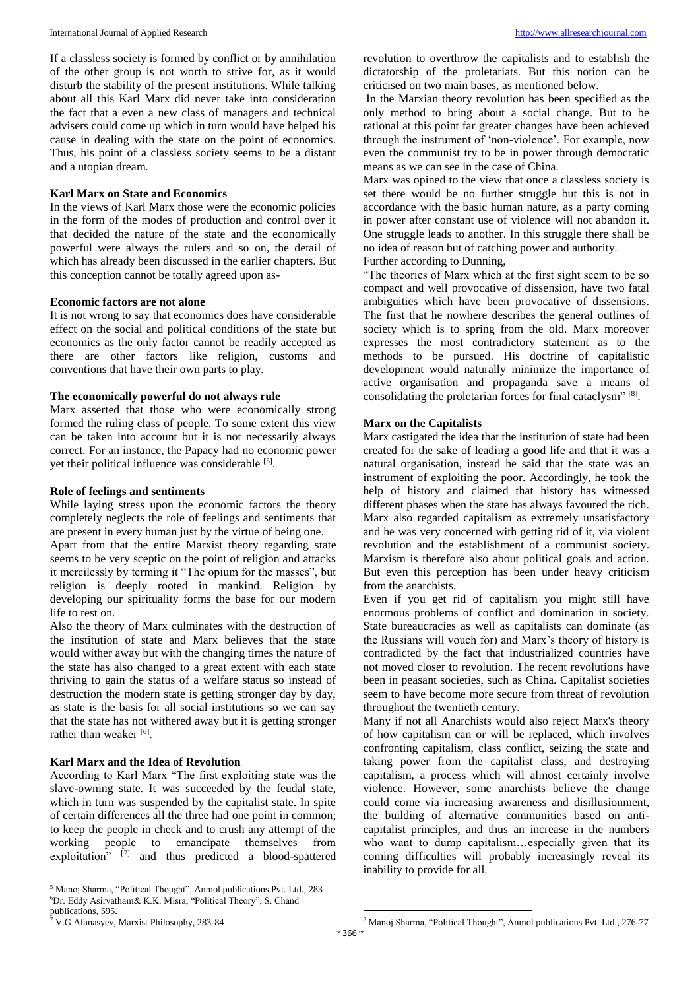If a classless society is formed by conflict or by annihilation of the other group is not worth to strive for, as it would disturb the stability of the present institutions. While talking about all this Karl Marx did never take into consideration the fact that a even a new class of managers and technical advisers could come up which in turn would have helped his cause in dealing with the state on the point of economics. Thus, his point of a classless society seems to be a distant and a utopian dream.

#### **Karl Marx on State and Economics**

In the views of Karl Marx those were the economic policies in the form of the modes of production and control over it that decided the nature of the state and the economically powerful were always the rulers and so on, the detail of which has already been discussed in the earlier chapters. But this conception cannot be totally agreed upon as-

#### **Economic factors are not alone**

It is not wrong to say that economics does have considerable effect on the social and political conditions of the state but economics as the only factor cannot be readily accepted as there are other factors like religion, customs and conventions that have their own parts to play.

#### **The economically powerful do not always rule**

Marx asserted that those who were economically strong formed the ruling class of people. To some extent this view can be taken into account but it is not necessarily always correct. For an instance, the Papacy had no economic power yet their political influence was considerable [5].

#### **Role of feelings and sentiments**

While laying stress upon the economic factors the theory completely neglects the role of feelings and sentiments that are present in every human just by the virtue of being one.

Apart from that the entire Marxist theory regarding state seems to be very sceptic on the point of religion and attacks it mercilessly by terming it "The opium for the masses", but religion is deeply rooted in mankind. Religion by developing our spirituality forms the base for our modern life to rest on.

Also the theory of Marx culminates with the destruction of the institution of state and Marx believes that the state would wither away but with the changing times the nature of the state has also changed to a great extent with each state thriving to gain the status of a welfare status so instead of destruction the modern state is getting stronger day by day, as state is the basis for all social institutions so we can say that the state has not withered away but it is getting stronger rather than weaker [6].

## **Karl Marx and the Idea of Revolution**

According to Karl Marx "The first exploiting state was the slave-owning state. It was succeeded by the feudal state, which in turn was suspended by the capitalist state. In spite of certain differences all the three had one point in common; to keep the people in check and to crush any attempt of the working people to emancipate themselves from exploitation" <a>[7]</a> and thus predicted a blood-spattered revolution to overthrow the capitalists and to establish the dictatorship of the proletariats. But this notion can be criticised on two main bases, as mentioned below.

In the Marxian theory revolution has been specified as the only method to bring about a social change. But to be rational at this point far greater changes have been achieved through the instrument of 'non-violence'. For example, now even the communist try to be in power through democratic means as we can see in the case of China.

Marx was opined to the view that once a classless society is set there would be no further struggle but this is not in accordance with the basic human nature, as a party coming in power after constant use of violence will not abandon it. One struggle leads to another. In this struggle there shall be no idea of reason but of catching power and authority.

Further according to Dunning,

"The theories of Marx which at the first sight seem to be so compact and well provocative of dissension, have two fatal ambiguities which have been provocative of dissensions. The first that he nowhere describes the general outlines of society which is to spring from the old. Marx moreover expresses the most contradictory statement as to the methods to be pursued. His doctrine of capitalistic development would naturally minimize the importance of active organisation and propaganda save a means of consolidating the proletarian forces for final cataclysm"<sup>[8]</sup>.

## **Marx on the Capitalists**

Marx castigated the idea that the institution of state had been created for the sake of leading a good life and that it was a natural organisation, instead he said that the state was an instrument of exploiting the poor. Accordingly, he took the help of history and claimed that history has witnessed different phases when the state has always favoured the rich. Marx also regarded capitalism as extremely unsatisfactory and he was very concerned with getting rid of it, via violent revolution and the establishment of a communist society. Marxism is therefore also about political goals and action. But even this perception has been under heavy criticism from the anarchists.

Even if you get rid of capitalism you might still have enormous problems of conflict and domination in society. State bureaucracies as well as capitalists can dominate (as the Russians will vouch for) and Marx's theory of history is contradicted by the fact that industrialized countries have not moved closer to revolution. The recent revolutions have been in peasant societies, such as China. Capitalist societies seem to have become more secure from threat of revolution throughout the twentieth century.

Many if not all Anarchists would also reject Marx's theory of how capitalism can or will be replaced, which involves confronting capitalism, class conflict, seizing the state and taking power from the capitalist class, and destroying capitalism, a process which will almost certainly involve violence. However, some anarchists believe the change could come via increasing awareness and disillusionment, the building of alternative communities based on anticapitalist principles, and thus an increase in the numbers who want to dump capitalism…especially given that its coming difficulties will probably increasingly reveal its inability to provide for all.

 $\ddot{\phantom{a}}$ 

 $\overline{a}$ <sup>5</sup> Manoj Sharma, "Political Thought", Anmol publications Pvt. Ltd., 283 <sup>6</sup>Dr. Eddy Asirvatham& K.K. Misra, "Political Theory", S. Chand

publications, 595. <sup>7</sup> V.G Afanasyev, Marxist Philosophy, 283-84